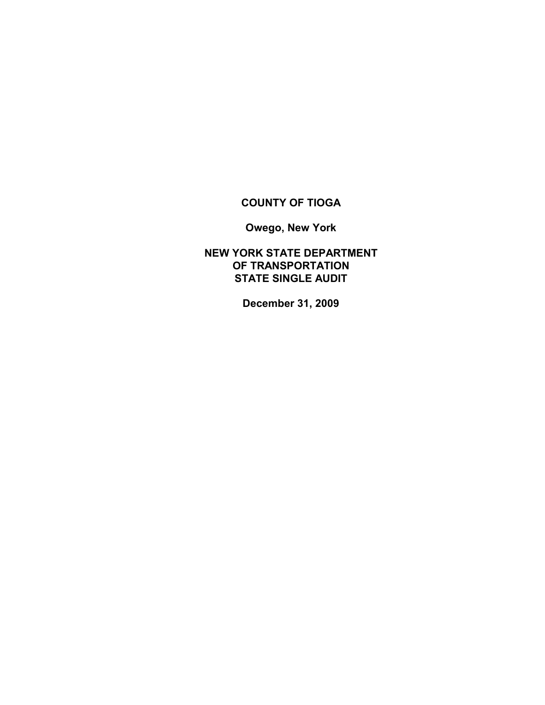# **COUNTY OF TIOGA**

**Owego, New York**

**NEW YORK STATE DEPARTMENT OF TRANSPORTATION STATE SINGLE AUDIT**

**December 31, 2009**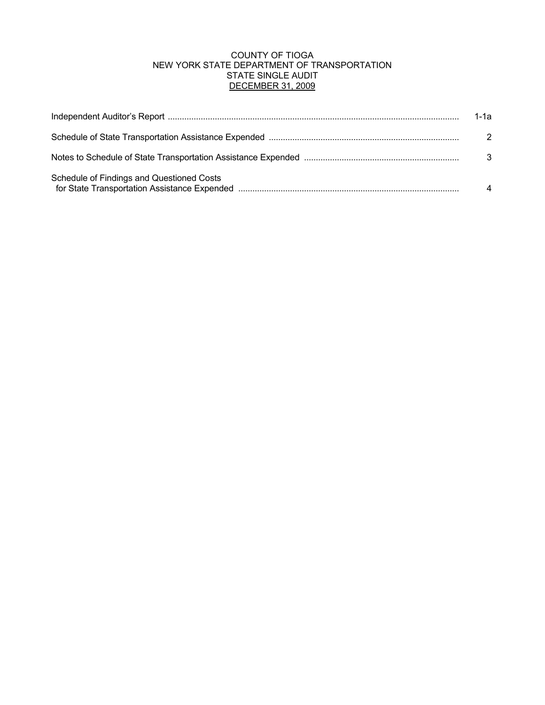## COUNTY OF TIOGA NEW YORK STATE DEPARTMENT OF TRANSPORTATION STATE SINGLE AUDIT DECEMBER 31, 2009

|                                           | 1-1а |
|-------------------------------------------|------|
|                                           | 2    |
|                                           | 3    |
| Schedule of Findings and Questioned Costs |      |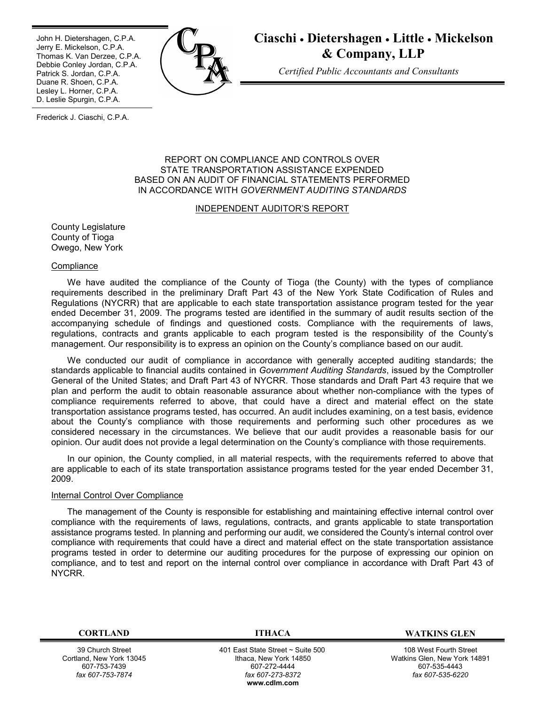Ī John H. Dietershagen, C.P.A. Jerry E. Mickelson, C.P.A. Thomas K. Van Derzee, C.P.A. Debbie Conley Jordan, C.P.A. Patrick S. Jordan, C.P.A. Duane R. Shoen, C.P.A. Lesley L. Horner, C.P.A. D. Leslie Spurgin, C.P.A.



**Ciaschi Dietershagen Little Mickelson & Company, LLP**

*Certified Public Accountants and Consultants*

Frederick J. Ciaschi, C.P.A.

#### REPORT ON COMPLIANCE AND CONTROLS OVER STATE TRANSPORTATION ASSISTANCE EXPENDED BASED ON AN AUDIT OF FINANCIAL STATEMENTS PERFORMED IN ACCORDANCE WITH *GOVERNMENT AUDITING STANDARDS*

#### INDEPENDENT AUDITOR'S REPORT

County Legislature County of Tioga Owego, New York

#### **Compliance**

We have audited the compliance of the County of Tioga (the County) with the types of compliance requirements described in the preliminary Draft Part 43 of the New York State Codification of Rules and Regulations (NYCRR) that are applicable to each state transportation assistance program tested for the year ended December 31, 2009. The programs tested are identified in the summary of audit results section of the accompanying schedule of findings and questioned costs. Compliance with the requirements of laws, regulations, contracts and grants applicable to each program tested is the responsibility of the County's management. Our responsibility is to express an opinion on the County's compliance based on our audit.

We conducted our audit of compliance in accordance with generally accepted auditing standards; the standards applicable to financial audits contained in *Government Auditing Standards*, issued by the Comptroller General of the United States; and Draft Part 43 of NYCRR. Those standards and Draft Part 43 require that we plan and perform the audit to obtain reasonable assurance about whether non-compliance with the types of compliance requirements referred to above, that could have a direct and material effect on the state transportation assistance programs tested, has occurred. An audit includes examining, on a test basis, evidence about the County's compliance with those requirements and performing such other procedures as we considered necessary in the circumstances. We believe that our audit provides a reasonable basis for our opinion. Our audit does not provide a legal determination on the County's compliance with those requirements.

In our opinion, the County complied, in all material respects, with the requirements referred to above that are applicable to each of its state transportation assistance programs tested for the year ended December 31, 2009.

#### Internal Control Over Compliance

The management of the County is responsible for establishing and maintaining effective internal control over compliance with the requirements of laws, regulations, contracts, and grants applicable to state transportation assistance programs tested. In planning and performing our audit, we considered the County's internal control over compliance with requirements that could have a direct and material effect on the state transportation assistance programs tested in order to determine our auditing procedures for the purpose of expressing our opinion on compliance, and to test and report on the internal control over compliance in accordance with Draft Part 43 of NYCRR.

39 Church Street Cortland, New York 13045 607-753-7439 *fax 607-753-7874*

 401 East State Street ~ Suite 500 Ithaca, New York 14850 607-272-4444 *fax 607-273-8372* **w[ww.cdlm.com](www.cdlm.com)**

**CORTLAND ITHACA WATKINS GLEN**

108 West Fourth Street Watkins Glen, New York 14891 607-535-4443 *fax 607-535-6220*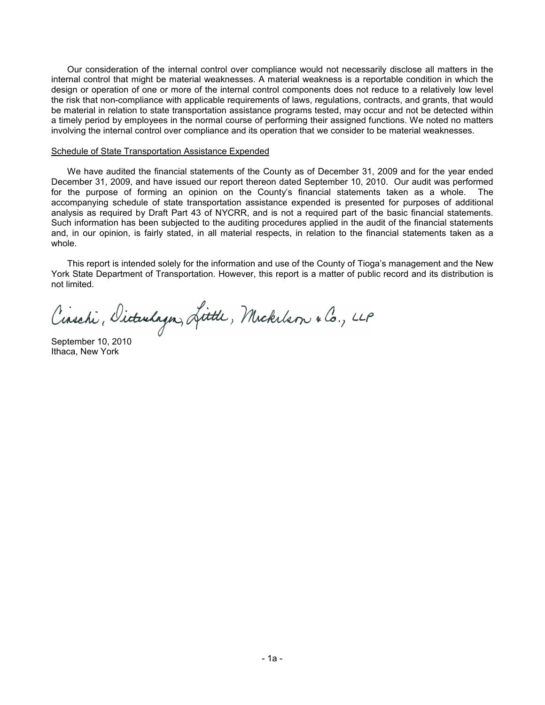Our consideration of the internal control over compliance would not necessarily disclose all matters in the internal control that might be material weaknesses. A material weakness is a reportable condition in which the design or operation of one or more of the internal control components does not reduce to a relatively low level the risk that non-compliance with applicable requirements of laws, regulations, contracts, and grants, that would be material in relation to state transportation assistance programs tested, may occur and not be detected within a timely period by employees in the normal course of performing their assigned functions. We noted no matters involving the internal control over compliance and its operation that we consider to be material weaknesses.

#### Schedule of State Transportation Assistance Expended

We have audited the financial statements of the County as of December 31, 2009 and for the year ended December 31, 2009, and have issued our report thereon dated September 10, 2010. Our audit was performed for the purpose of forming an opinion on the County's financial statements taken as a whole. The accompanying schedule of state transportation assistance expended is presented for purposes of additional analysis as required by Draft Part 43 of NYCRR, and is not a required part of the basic financial statements. Such information has been subjected to the auditing procedures applied in the audit of the financial statements and, in our opinion, is fairly stated, in all material respects, in relation to the financial statements taken as a whole.

This report is intended solely for the information and use of the County of Tioga's management and the New York State Department of Transportation. However, this report is a matter of public record and its distribution is not limited.

Cinschi, Dicturlagn, Little, Mickelson & Co., LLP

September 10, 2010 Ithaca, New York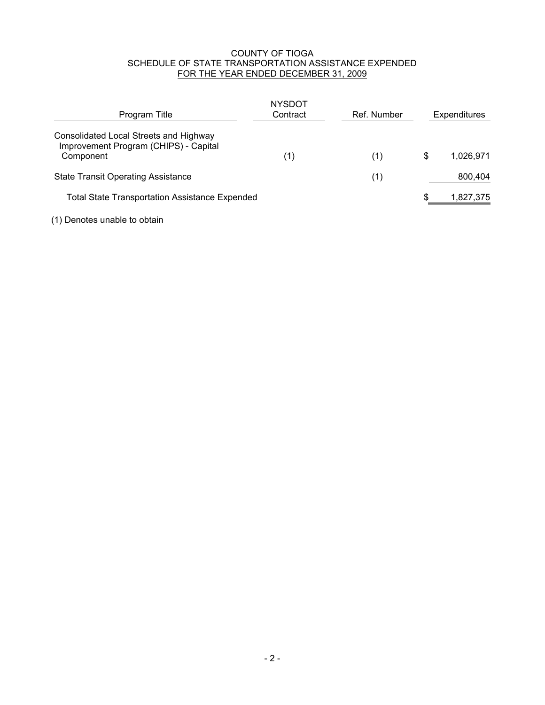## COUNTY OF TIOGA SCHEDULE OF STATE TRANSPORTATION ASSISTANCE EXPENDED FOR THE YEAR ENDED DECEMBER 31, 2009

| Program Title                                                                                | NYSDOT<br>Contract | Ref. Number | Expenditures    |
|----------------------------------------------------------------------------------------------|--------------------|-------------|-----------------|
| Consolidated Local Streets and Highway<br>Improvement Program (CHIPS) - Capital<br>Component | (1)                | (1)         | \$<br>1.026.971 |
| <b>State Transit Operating Assistance</b>                                                    |                    | (1)         | 800,404         |
| <b>Total State Transportation Assistance Expended</b>                                        |                    |             | 1,827,375       |

(1) Denotes unable to obtain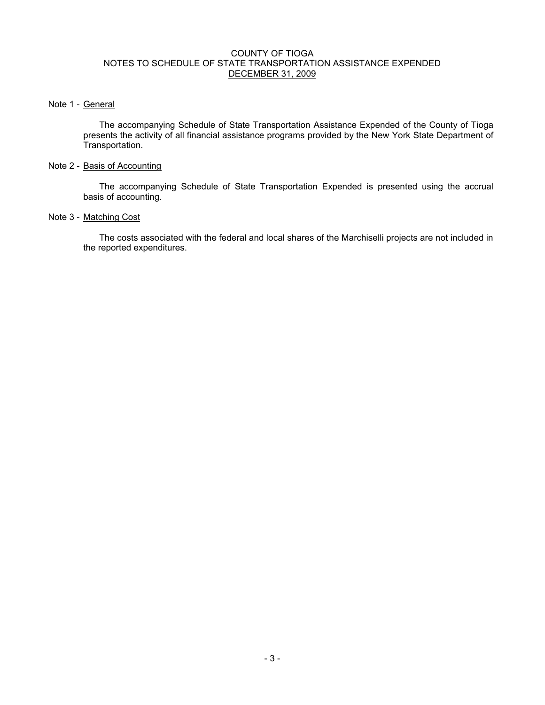### COUNTY OF TIOGA NOTES TO SCHEDULE OF STATE TRANSPORTATION ASSISTANCE EXPENDED DECEMBER 31, 2009

## Note 1 - General

The accompanying Schedule of State Transportation Assistance Expended of the County of Tioga presents the activity of all financial assistance programs provided by the New York State Department of Transportation.

## Note 2 - Basis of Accounting

The accompanying Schedule of State Transportation Expended is presented using the accrual basis of accounting.

## Note 3 - Matching Cost

The costs associated with the federal and local shares of the Marchiselli projects are not included in the reported expenditures.